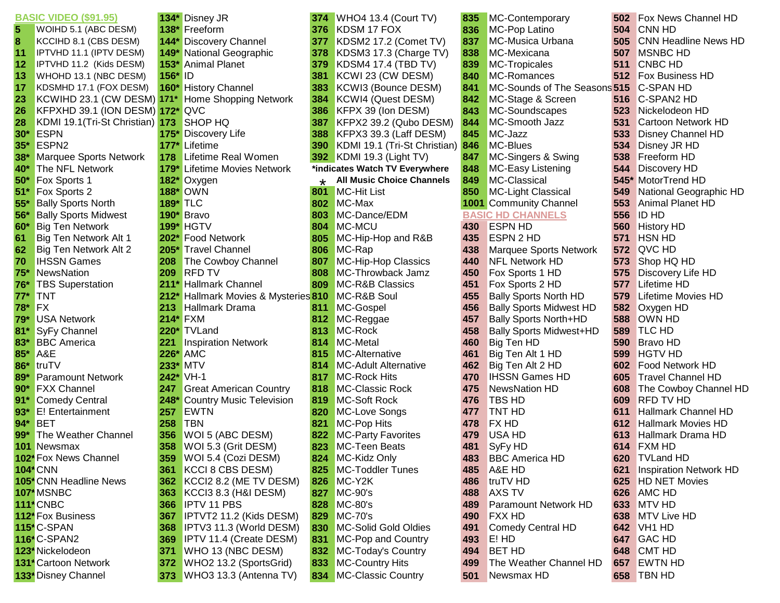|                         | <b>BASIC VIDEO (\$91.95)</b>  |                 | 134* Disney JR                       | 374     |  |
|-------------------------|-------------------------------|-----------------|--------------------------------------|---------|--|
| $\overline{\mathbf{5}}$ | WOIHD 5.1 (ABC DESM)          |                 | 138* Freeform                        | 376     |  |
| 8                       | KCCIHD 8.1 (CBS DESM)         |                 | 144* Discovery Channel               |         |  |
| 11                      | IPTVHD 11.1 (IPTV DESM)       |                 | 149* National Geographic             |         |  |
| 12                      | IPTVHD 11.2 (Kids DESM)       |                 | 153* Animal Planet                   |         |  |
| 13                      | WHOHD 13.1 (NBC DESM)         | 156* ID         |                                      | 381     |  |
| 17                      | KDSMHD 17.1 (FOX DESM)        |                 | 160* History Channel                 | 383     |  |
| 23                      | KCWIHD 23.1 (CW DESM)         | $171*$          | Home Shopping Network                | 384     |  |
| 26                      | KFPXHD 39.1 (ION DESM)        |                 | 172* QVC                             |         |  |
| 28                      | KDMI 19.1 (Tri-St Christian)  | $173 -$         | SHOP HQ                              | 387     |  |
| $30*$                   | <b>ESPN</b>                   |                 | 175* Discovery Life                  | 388     |  |
| $35*$                   | ESPN <sub>2</sub>             |                 | 177* Lifetime                        | 390     |  |
| $38*$                   | Marquee Sports Network        | 178             | Lifetime Real Women                  | 392     |  |
| 40*                     | The NFL Network               |                 | 179* Lifetime Movies Network         | *inc    |  |
| $50*$                   | Fox Sports 1                  |                 | 182* Oxygen                          | $\star$ |  |
| $51*$                   | Fox Sports 2                  |                 | <b>188* OWN</b>                      | 801     |  |
| $55*$                   | <b>Bally Sports North</b>     | <b>189* TLC</b> |                                      | 802     |  |
| 56*                     | <b>Bally Sports Midwest</b>   |                 | 190* Bravo                           | 803     |  |
| $60*$                   | <b>Big Ten Network</b>        |                 | <b>199* HGTV</b>                     | 804     |  |
| 61                      | Big Ten Network Alt 1         |                 | 202* Food Network                    | 805     |  |
| 62                      | Big Ten Network Alt 2         |                 | 205* Travel Channel                  | 806     |  |
| 70                      | <b>IHSSN Games</b>            | 208             | The Cowboy Channel                   | 807     |  |
| $75*$                   | NewsNation                    | 209             | <b>RFD TV</b>                        |         |  |
| 76*                     | <b>TBS Superstation</b>       |                 | 211* Hallmark Channel                |         |  |
| $77*$                   | <b>TNT</b>                    |                 | 212* Hallmark Movies & Mysteries 810 |         |  |
| 78*                     | <b>FX</b>                     |                 | 213 Hallmark Drama                   | 811     |  |
| 79*                     | <b>USA Network</b>            |                 | 214* FXM                             | 812     |  |
| $81*$                   | SyFy Channel                  |                 | 220* TVLand                          | 813     |  |
| $83*$                   | <b>BBC</b> America            | 221             | <b>Inspiration Network</b>           | 814     |  |
| $85*$                   | A&E                           |                 | 226* AMC                             | 815     |  |
| $86*$                   | truTV                         |                 | 233* MTV                             | 814     |  |
| 89*                     | <b>Paramount Network</b>      |                 | 242* VH-1                            | 817     |  |
| $90*$                   | <b>FXX Channel</b>            | 247             | <b>Great American Country</b>        | 818     |  |
| $91*$                   | <b>Comedy Central</b>         |                 | 248* Country Music Television        | 819     |  |
| $93*$                   | E! Entertainment              | 257             | <b>EWTN</b>                          | 820     |  |
| $94*$                   | <b>BET</b>                    | 258             | <b>TBN</b>                           | 821     |  |
| $99*$                   | The Weather Channel           | 356             | WOI 5 (ABC DESM)                     | 822     |  |
| 101                     | Newsmax                       | 358             | WOI 5.3 (Grit DESM)                  | 823     |  |
|                         | 102* Fox News Channel         | 359             | WOI 5.4 (Cozi DESM)                  | 824     |  |
|                         | <b>104* CNN</b>               | 361             | <b>KCCI 8 CBS DESM)</b>              | 825     |  |
|                         | 105* CNN Headline News        | 362             | KCCI2 8.2 (ME TV DESM)               | 826     |  |
|                         | 107* MSNBC                    | 363             | KCCI3 8.3 (H&I DESM)                 | 827     |  |
|                         | 111 <sup>*</sup> CNBC         | 366             | <b>IPTV 11 PBS</b>                   | 828     |  |
|                         | 112 <sup>*</sup> Fox Business | 367             | IPTVT2 11.2 (Kids DESM)              | 829     |  |
|                         | 115* C-SPAN                   | 368             | IPTV3 11.3 (World DESM)              | 830     |  |
|                         | 116* C-SPAN2                  | 369             | IPTV 11.4 (Create DESM)              | 831     |  |
|                         | 123* Nickelodeon              | 371             | WHO 13 (NBC DESM)                    | 832     |  |
|                         | 131* Cartoon Network          | 372             | WHO2 13.2 (SportsGrid)               | 833     |  |
|                         | 133* Disney Channel           | 373             | WHO3 13.3 (Antenna TV)               | 834     |  |

| l*                         | Disney JR                              |
|----------------------------|----------------------------------------|
| 3*                         | Freeform                               |
| I۴                         | Discovery Channel                      |
| )*                         | National Geographic                    |
| $\overline{\mathbf{3}}^*$  | <b>Animal Planet</b>                   |
| $\mathbf{\hat{j}}^{\star}$ | ID                                     |
| )*                         | <b>History Channel</b>                 |
| $\star$                    | <b>Home Shopping Network</b>           |
| 2*                         | QVC                                    |
| 3                          | SHOP HQ                                |
| $\mathbf{S}^*$             | Discovery Life                         |
| 7*                         | Lifetime                               |
| ŝ.                         | Lifetime Real Women                    |
| )*                         | <b>Lifetime Movies Network</b>         |
| þ×                         | Oxygen                                 |
| $\overline{\mathbf{3}}^*$  | <b>OWN</b>                             |
| $\overline{\mathbf{y}^*}$  | <b>TLC</b>                             |
| $\overline{\mathbf{r}}$    | <b>Bravo</b>                           |
| )*                         | <b>HGTV</b>                            |
| þ×                         | <b>Food Network</b>                    |
| š*                         | <b>Travel Channel</b>                  |
| 3                          | The Cowboy Channel                     |
| J                          | <b>RFD TV</b>                          |
| ١*                         | <b>Hallmark Channel</b>                |
| 2*                         | Hallmark Movies & Mysteries            |
| š.                         | Hallmark Drama                         |
| I۴                         | <b>FXM</b>                             |
| )*                         | <b>TVLand</b>                          |
| L                          | <b>Inspiration Network</b>             |
| š*                         | AMC                                    |
| $\overline{\mathbf{3}}^*$  | MTV                                    |
| 2*                         | $VH-1$                                 |
| 7                          | <b>Great American Country</b>          |
| 3*                         | <b>Country Music Television</b>        |
| i,                         | <b>EWTN</b>                            |
| 3                          | <b>TBN</b>                             |
| ć                          | WOI 5 (ABC DESM)                       |
| 3                          | WOI 5.3 (Grit DESM)                    |
| J                          | WOI 5.4 (Cozi DESM)                    |
| ı                          | KCCI 8 CBS DESM)                       |
| Ż                          | KCCI2 8.2 (ME TV DESM)                 |
| 3                          | KCCI3 8.3 (H&I DESM)                   |
| j<br>7                     | IPTV 11 PBS<br>IPTVT2 11.2 (Kids DESM) |
| 3                          | IPTV3 11.3 (World DESM)                |
| J                          | IPTV 11.4 (Create DESM)                |
| I                          | WHO 13 (NBC DESM)                      |
| 2                          | WHO2 13.2 (SportsGrid)                 |
| ś                          | WHO3 13.3 (Antenna TV)                 |
|                            |                                        |

| 4      | WHO4 13.4 (Court TV)                          |
|--------|-----------------------------------------------|
| 6      | KDSM 17 FOX                                   |
| 7      | KDSM2 17.2 (Comet TV)                         |
| 8      | KDSM3 17.3 (Charge TV)                        |
| 9      | <b>KDSM4 17.4 (TBD TV)</b>                    |
| 1      | KCWI 23 (CW DESM)                             |
| 3      | KCWI3 (Bounce DESM)                           |
| 4      | KCWI4 (Quest DESM)                            |
| 6      | KFPX 39 (Ion DESM)                            |
| 7      | KFPX2 39.2 (Qubo DESM)                        |
| 8      | KFPX3 39.3 (Laff DESM)                        |
| D      | KDMI 19.1 (Tri-St Christian                   |
| 2      | KDMI 19.3 (Light TV)                          |
|        | dicates Watch TV Everywhere                   |
| ŕ.     | <b>All Music Choice Channels</b>              |
| 1      | <b>MC-Hit List</b>                            |
| 2      | MC-Max                                        |
| 3      | MC-Dance/EDM                                  |
| 4      | MC-MCU                                        |
| 5      | MC-Hip-Hop and R&B                            |
| 6      | MC-Rap                                        |
| 7      | <b>MC-Hip-Hop Classics</b>                    |
| 8      | MC-Throwback Jamz                             |
| 9      | <b>MC-R&amp;B Classics</b>                    |
| 0      | MC-R&B Soul                                   |
| 1      | MC-Gospel                                     |
| 2      | MC-Reggae                                     |
| 3      | MC-Rock                                       |
| 4      | MC-Metal                                      |
| 5      | MC-Alternative                                |
| 4      | <b>MC-Adult Alternative</b>                   |
| 7<br>8 | <b>MC-Rock Hits</b><br><b>MC-Classic Rock</b> |
| 9      | <b>MC-Soft Rock</b>                           |
| 0      | <b>MC-Love Songs</b>                          |
| 1      | MC-Pop Hits                                   |
| 2      | <b>MC-Party Favorites</b>                     |
| 3      | MC-Teen Beats                                 |
| 4      | MC-Kidz Only                                  |
| 5      | MC-Toddler Tunes                              |
| 6      | MC-Y2K                                        |
| 7      | MC-90's                                       |
| 8      | MC-80's                                       |
| 9      | MC-70's                                       |
| 0      | <b>MC-Solid Gold Oldies</b>                   |
| 1      | MC-Pop and Country                            |
| 2      | MC-Today's Country                            |
| 3      | <b>MC-Country Hits</b>                        |
| л      | MC-Classic Country                            |

|                  | <b>BASIC VIDEO (\$91.95)</b>                     |                 | 134* Disney JR                                 | 374        | WHO4 13.4 (Court TV)                                 | 835        | MC-Contemporary                                 | 502        | <b>Fox News Channel HD</b>        |
|------------------|--------------------------------------------------|-----------------|------------------------------------------------|------------|------------------------------------------------------|------------|-------------------------------------------------|------------|-----------------------------------|
| 5                | WOIHD 5.1 (ABC DESM)                             |                 | 138* Freeform                                  | 376        | KDSM 17 FOX                                          | 836        | <b>MC-Pop Latino</b><br><b>MC-Musica Urbana</b> | 504        | <b>CNN HD</b>                     |
| 8                | KCCIHD 8.1 (CBS DESM)                            |                 | 144* Discovery Channel                         | 377        | KDSM2 17.2 (Comet TV)                                | 837        |                                                 | 505        | <b>CNN Headline News HD</b>       |
| 11               | IPTVHD 11.1 (IPTV DESM)                          |                 | 149* National Geographic<br>153* Animal Planet | 378        | KDSM3 17.3 (Charge TV)<br><b>KDSM4 17.4 (TBD TV)</b> | 838<br>839 | MC-Mexicana                                     | 507        | <b>MSNBC HD</b><br><b>CNBC HD</b> |
| 12<br>13         | IPTVHD 11.2 (Kids DESM)<br>WHOHD 13.1 (NBC DESM) | 156*            | $\blacksquare$                                 | 379<br>381 | KCWI 23 (CW DESM)                                    | 840        | <b>MC-Tropicales</b><br>MC-Romances             | 511<br>512 | <b>Fox Business HD</b>            |
| 17               | KDSMHD 17.1 (FOX DESM)                           |                 | 160* History Channel                           | 383        | KCWI3 (Bounce DESM)                                  | 841        | MC-Sounds of The Seasons 515                    |            | <b>C-SPAN HD</b>                  |
| 23               | KCWIHD 23.1 (CW DESM) 171*                       |                 | Home Shopping Network                          | 384        | KCWI4 (Quest DESM)                                   | 842        | MC-Stage & Screen                               | 516        | C-SPAN2 HD                        |
| 26               | KFPXHD 39.1 (ION DESM) 172* QVC                  |                 |                                                | 386        | KFPX 39 (Ion DESM)                                   | 843        | MC-Soundscapes                                  | 523        | Nickelodeon HD                    |
| 28               | KDMI 19.1 (Tri-St Christian) 173                 |                 | SHOP HQ                                        | 387        | KFPX2 39.2 (Qubo DESM)                               | 844        | MC-Smooth Jazz                                  | 531        | Cartoon Network HD                |
| $30^{\star}$     | <b>ESPN</b>                                      |                 | 175* Discovery Life                            | 388        | KFPX3 39.3 (Laff DESM)                               | 845        | MC-Jazz                                         | 533        | <b>Disney Channel HD</b>          |
| $35*$            | ESPN <sub>2</sub>                                | $177*$          | Lifetime                                       | 390        | KDMI 19.1 (Tri-St Christian)                         | 846        | MC-Blues                                        | 534        | Disney JR HD                      |
| $\bf 38^{\star}$ | <b>Marquee Sports Network</b>                    | 178             | <b>Lifetime Real Women</b>                     |            | <b>392</b> KDMI 19.3 (Light TV)                      | 847        | MC-Singers & Swing                              | 538        | Freeform HD                       |
| 40*              | The NFL Network                                  |                 | 179* Lifetime Movies Network                   |            | *indicates Watch TV Everywhere                       | 848        | MC-Easy Listening                               | 544        | <b>Discovery HD</b>               |
| 50*              | <b>Fox Sports 1</b>                              |                 | 182* Oxygen                                    | $\star$    | <b>All Music Choice Channels</b>                     | 849        | MC-Classical                                    | 545*       | MotorTrend HD                     |
| 51*              | Fox Sports 2                                     |                 | <b>188* OWN</b>                                | 801        | <b>MC-Hit List</b>                                   | 850        | <b>MC-Light Classical</b>                       | 549        | National Geographic HD            |
| 55*              | <b>Bally Sports North</b>                        | <b>189* TLC</b> |                                                | 802        | MC-Max                                               |            | <b>1001</b> Community Channel                   | 553        | <b>Animal Planet HD</b>           |
| 56*              | <b>Bally Sports Midwest</b>                      |                 | 190* Bravo                                     | 803        | MC-Dance/EDM                                         |            | <b>BASIC HD CHANNELS</b>                        | 556        | <b>ID HD</b>                      |
| 60*              | <b>Big Ten Network</b>                           | 199*            | <b>HGTV</b>                                    | 804        | MC-MCU                                               | 430        | <b>ESPN HD</b>                                  | 560        | <b>History HD</b>                 |
| 61               | Big Ten Network Alt 1                            |                 | 202* Food Network                              | 805        | MC-Hip-Hop and R&B                                   | 435        | <b>ESPN 2 HD</b>                                | 571        | <b>HSN HD</b>                     |
| 62               | Big Ten Network Alt 2                            | 205*            | <b>Travel Channel</b>                          | 806        | MC-Rap                                               | 438        | <b>Marquee Sports Network</b>                   | 572        | QVC HD                            |
| 70               | <b>IHSSN Games</b>                               | 208             | The Cowboy Channel                             | 807        | MC-Hip-Hop Classics                                  | 440        | <b>NFL Network HD</b>                           | 573        | Shop HQ HD                        |
| 75*              | NewsNation                                       | 209             | <b>RFD TV</b>                                  | 808        | MC-Throwback Jamz                                    | 450        | Fox Sports 1 HD                                 | 575        | <b>Discovery Life HD</b>          |
| 76*              | <b>TBS Superstation</b>                          |                 | 211* Hallmark Channel                          | 809        | <b>MC-R&amp;B Classics</b>                           | 451        | Fox Sports 2 HD                                 | 577        | Lifetime HD                       |
| 77*              | <b>TNT</b>                                       |                 | 212* Hallmark Movies & Mysteries 810           |            | MC-R&B Soul                                          | 455        | <b>Bally Sports North HD</b>                    | 579        | Lifetime Movies HD                |
| 78*              | FX                                               | 213             | <b>Hallmark Drama</b>                          | 811        | MC-Gospel                                            | 456        | <b>Bally Sports Midwest HD</b>                  | 582        | Oxygen HD                         |
| 79*              | <b>USA Network</b>                               | <b>214* FXM</b> |                                                | 812        | MC-Reggae                                            | 457        | <b>Bally Sports North+HD</b>                    | 588        | OWN HD                            |
| 81               | <b>SyFy Channel</b>                              | 220*            | <b>TVLand</b>                                  | 813        | MC-Rock                                              | 458        | <b>Bally Sports Midwest+HD</b>                  | 589        | <b>TLC HD</b>                     |
| 83*              | <b>BBC</b> America                               | 221             | <b>Inspiration Network</b>                     | 814        | MC-Metal                                             | 460        | Big Ten HD                                      | 590        | <b>Bravo HD</b>                   |
| 85*              | A&E                                              | $226*$          | <b>AMC</b>                                     | 815        | MC-Alternative                                       | 461        | Big Ten Alt 1 HD                                | 599        | <b>HGTV HD</b>                    |
| 86*              | truTV                                            | $233*$          | <b>MTV</b>                                     | 814        | <b>MC-Adult Alternative</b>                          | 462        | Big Ten Alt 2 HD                                | 602        | <b>Food Network HD</b>            |
| 89*              | <b>Paramount Network</b>                         | $242*$          | $VH-1$                                         | 817        | <b>MC-Rock Hits</b>                                  | 470        | <b>IHSSN Games HD</b>                           | 605        | <b>Travel Channel HD</b>          |
| 90*              | <b>FXX Channel</b>                               | 247             | <b>Great American Country</b>                  | 818        | <b>MC-Classic Rock</b>                               | 475        | <b>NewsNation HD</b>                            | 608        | The Cowboy Channel HD             |
| 91*              | <b>Comedy Central</b>                            | 248*            | <b>Country Music Television</b>                | 819        | MC-Soft Rock                                         | 476        | <b>TBS HD</b>                                   | 609        | <b>RFD TV HD</b>                  |
| 93*              | <b>E!</b> Entertainment                          | 257             | <b>EWTN</b>                                    | 820        | MC-Love Songs                                        | 477        | <b>TNT HD</b>                                   | 611        | Hallmark Channel HD               |
| 94*              | <b>BET</b>                                       | 258             | <b>TBN</b>                                     | 821        | MC-Pop Hits                                          | 478        | <b>FX HD</b>                                    | 612        | <b>Hallmark Movies HD</b>         |
| 99*              | The Weather Channel                              | 356             | WOI 5 (ABC DESM)                               | 822        | <b>MC-Party Favorites</b>                            | 479        | <b>USA HD</b>                                   | 613        | <b>Hallmark Drama HD</b>          |
|                  | 101 Newsmax                                      | 358             | WOI 5.3 (Grit DESM)                            | 823        | MC-Teen Beats                                        | 481        | SyFy HD                                         | 614        | <b>FXM HD</b>                     |
|                  | 102* Fox News Channel                            | 359             | WOI 5.4 (Cozi DESM)                            | 824        | MC-Kidz Only                                         | 483        | <b>BBC</b> America HD                           |            | 620 TVLand HD                     |
|                  | <b>104* CNN</b>                                  | 361             | KCCI 8 CBS DESM)                               | 825        | MC-Toddler Tunes                                     | 485        | A&E HD                                          | 621        | <b>Inspiration Network HD</b>     |
|                  | 105 <sup>*</sup> CNN Headline News               |                 | <b>362</b> KCCI2 8.2 (ME TV DESM)              | 826        | $MC-Y2K$                                             | 486        | truTV HD                                        |            | 625 HD NET Movies                 |
|                  | 107*MSNBC                                        | 363             | KCCI3 8.3 (H&I DESM)                           | 827        | $MC-90's$                                            | 488        | <b>AXS TV</b>                                   | 626        | <b>AMC HD</b>                     |
|                  | <b>111*CNBC</b>                                  | 366             | <b>IPTV 11 PBS</b>                             | 828        | MC-80's                                              | 489        | <b>Paramount Network HD</b>                     |            | <b>633 MTV HD</b>                 |
|                  | 112 <sup>*</sup> Fox Business                    | 367             | IPTVT2 11.2 (Kids DESM)                        | 829        | <b>MC-70's</b>                                       | 490        | <b>FXX HD</b>                                   |            | 638 MTV Live HD                   |
|                  | 115*C-SPAN                                       | 368             | IPTV3 11.3 (World DESM)                        | 830        | MC-Solid Gold Oldies                                 | 491        | <b>Comedy Central HD</b>                        |            | 642 VH1 HD                        |
|                  | 116*C-SPAN2                                      | 369             | <b>IPTV 11.4 (Create DESM)</b>                 | 831        | MC-Pop and Country                                   | 493        | $E!$ HD                                         |            | 647 GAC HD                        |
|                  | 123* Nickelodeon                                 | 371             | WHO 13 (NBC DESM)                              | 832        | MC-Today's Country                                   | 494        | <b>BET HD</b>                                   | 648        | <b>CMT HD</b>                     |
|                  | 131 <sup>*</sup> Cartoon Network                 | 372             | WHO2 13.2 (SportsGrid)                         | 833        | MC-Country Hits                                      | 499        | The Weather Channel HD                          | 657        | <b>EWTN HD</b>                    |
|                  | 133* Disney Channel                              | 373             | WHO3 13.3 (Antenna TV)                         |            | 834 MC-Classic Country                               | 501        | Newsmax HD                                      |            | <b>658 TBN HD</b>                 |
|                  |                                                  |                 |                                                |            |                                                      |            |                                                 |            |                                   |